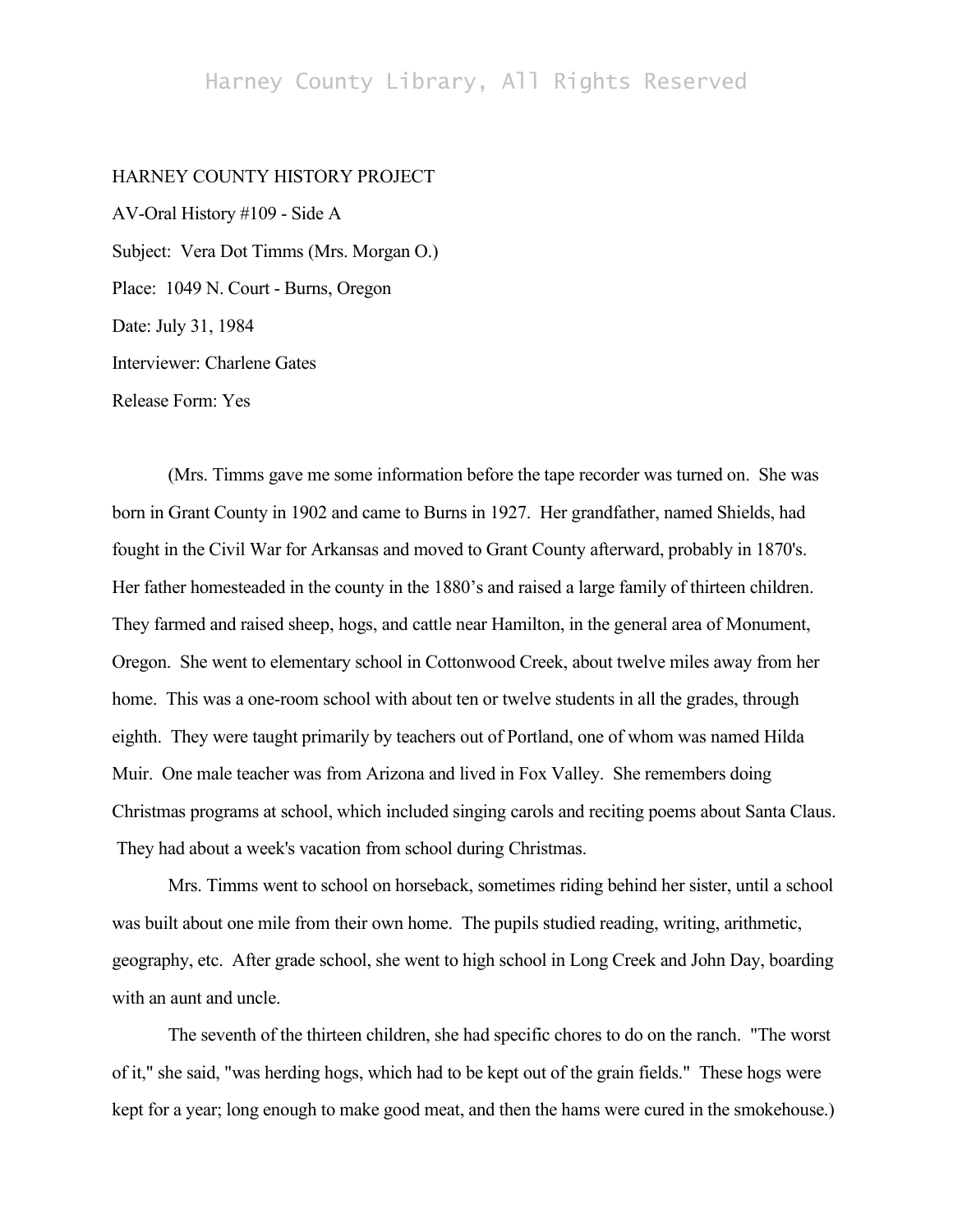## Harney County Library, All Rights Reserved

## HARNEY COUNTY HISTORY PROJECT

AV-Oral History #109 - Side A Subject: Vera Dot Timms (Mrs. Morgan O.) Place: 1049 N. Court - Burns, Oregon Date: July 31, 1984 Interviewer: Charlene Gates Release Form: Yes

(Mrs. Timms gave me some information before the tape recorder was turned on. She was born in Grant County in 1902 and came to Burns in 1927. Her grandfather, named Shields, had fought in the Civil War for Arkansas and moved to Grant County afterward, probably in 1870's. Her father homesteaded in the county in the 1880's and raised a large family of thirteen children. They farmed and raised sheep, hogs, and cattle near Hamilton, in the general area of Monument, Oregon. She went to elementary school in Cottonwood Creek, about twelve miles away from her home. This was a one-room school with about ten or twelve students in all the grades, through eighth. They were taught primarily by teachers out of Portland, one of whom was named Hilda Muir. One male teacher was from Arizona and lived in Fox Valley. She remembers doing Christmas programs at school, which included singing carols and reciting poems about Santa Claus. They had about a week's vacation from school during Christmas.

Mrs. Timms went to school on horseback, sometimes riding behind her sister, until a school was built about one mile from their own home. The pupils studied reading, writing, arithmetic, geography, etc. After grade school, she went to high school in Long Creek and John Day, boarding with an aunt and uncle.

The seventh of the thirteen children, she had specific chores to do on the ranch. "The worst of it," she said, "was herding hogs, which had to be kept out of the grain fields." These hogs were kept for a year; long enough to make good meat, and then the hams were cured in the smokehouse.)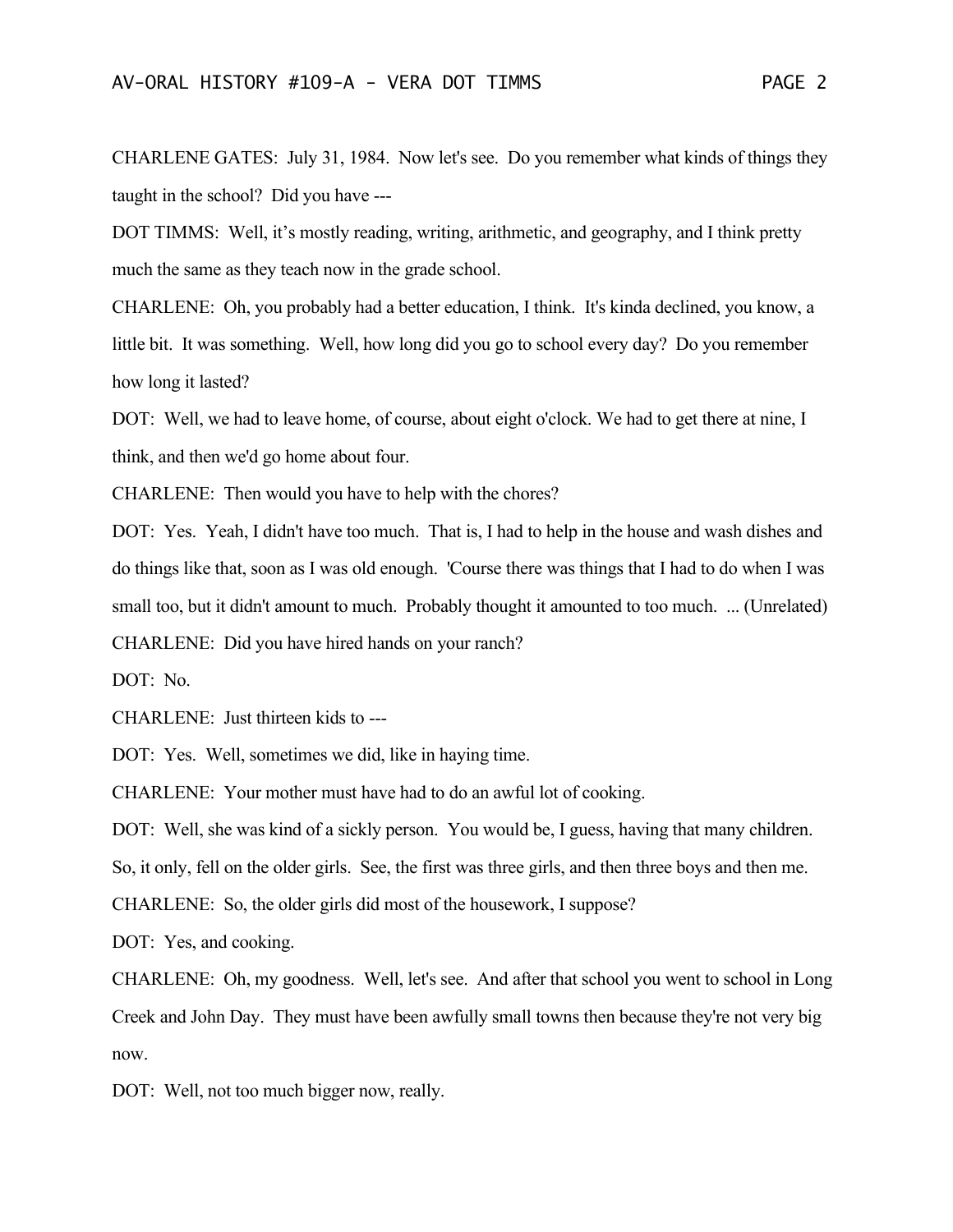CHARLENE GATES: July 31, 1984. Now let's see. Do you remember what kinds of things they taught in the school? Did you have ---

DOT TIMMS: Well, it's mostly reading, writing, arithmetic, and geography, and I think pretty much the same as they teach now in the grade school.

CHARLENE: Oh, you probably had a better education, I think. It's kinda declined, you know, a little bit. It was something. Well, how long did you go to school every day? Do you remember how long it lasted?

DOT: Well, we had to leave home, of course, about eight o'clock. We had to get there at nine, I think, and then we'd go home about four.

CHARLENE: Then would you have to help with the chores?

DOT: Yes. Yeah, I didn't have too much. That is, I had to help in the house and wash dishes and do things like that, soon as I was old enough. 'Course there was things that I had to do when I was small too, but it didn't amount to much. Probably thought it amounted to too much. ... (Unrelated) CHARLENE: Did you have hired hands on your ranch?

DOT: No.

CHARLENE: Just thirteen kids to ---

DOT: Yes. Well, sometimes we did, like in haying time.

CHARLENE: Your mother must have had to do an awful lot of cooking.

DOT: Well, she was kind of a sickly person. You would be, I guess, having that many children.

So, it only, fell on the older girls. See, the first was three girls, and then three boys and then me.

CHARLENE: So, the older girls did most of the housework, I suppose?

DOT: Yes, and cooking.

CHARLENE: Oh, my goodness. Well, let's see. And after that school you went to school in Long Creek and John Day. They must have been awfully small towns then because they're not very big now.

DOT: Well, not too much bigger now, really.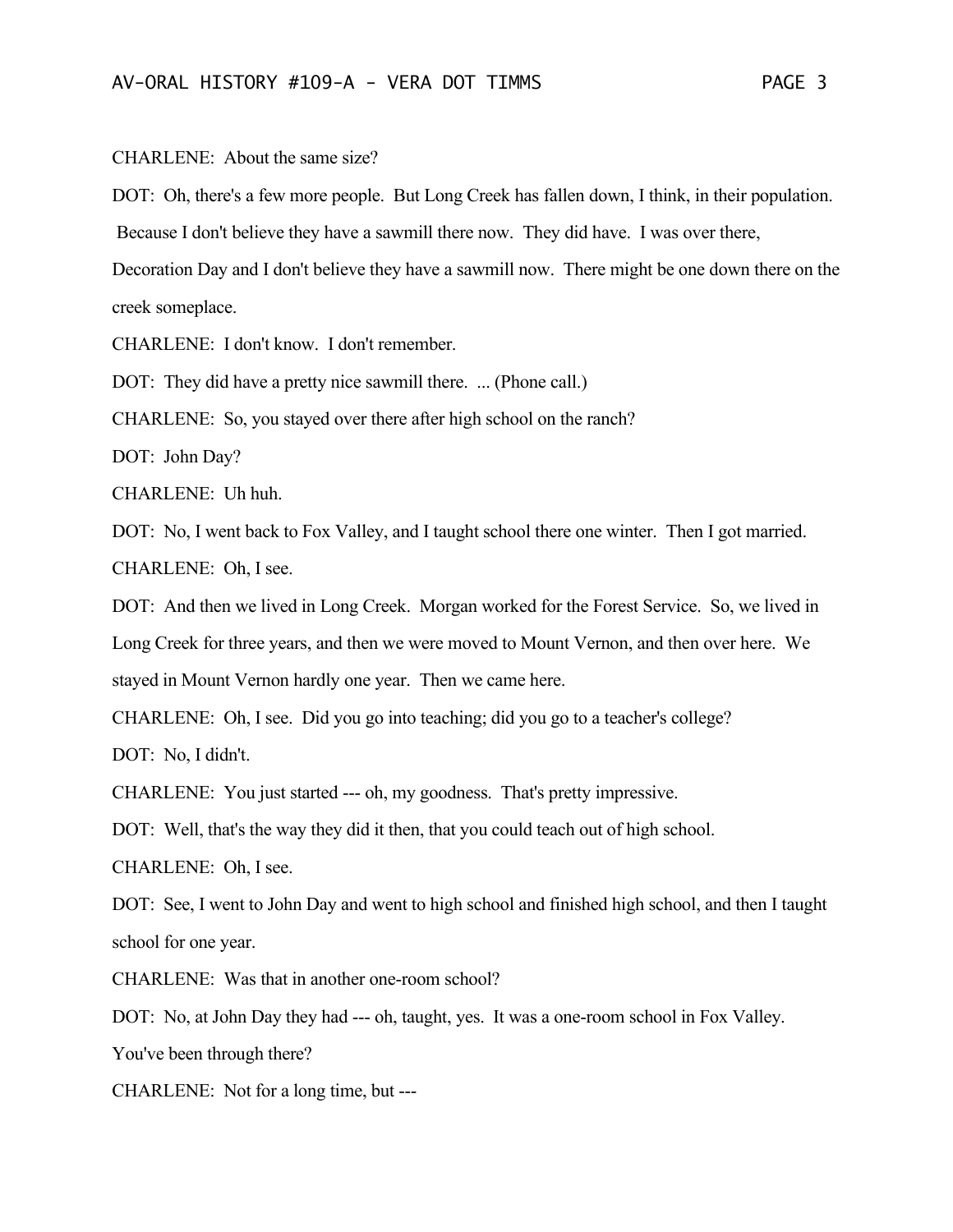CHARLENE: About the same size?

DOT: Oh, there's a few more people. But Long Creek has fallen down, I think, in their population.

Because I don't believe they have a sawmill there now. They did have. I was over there,

Decoration Day and I don't believe they have a sawmill now. There might be one down there on the creek someplace.

CHARLENE: I don't know. I don't remember.

DOT: They did have a pretty nice sawmill there. ... (Phone call.)

CHARLENE: So, you stayed over there after high school on the ranch?

DOT: John Day?

CHARLENE: Uh huh.

DOT: No, I went back to Fox Valley, and I taught school there one winter. Then I got married. CHARLENE: Oh, I see.

DOT: And then we lived in Long Creek. Morgan worked for the Forest Service. So, we lived in Long Creek for three years, and then we were moved to Mount Vernon, and then over here. We stayed in Mount Vernon hardly one year. Then we came here.

CHARLENE: Oh, I see. Did you go into teaching; did you go to a teacher's college?

DOT: No, I didn't.

CHARLENE: You just started --- oh, my goodness. That's pretty impressive.

DOT: Well, that's the way they did it then, that you could teach out of high school.

CHARLENE: Oh, I see.

DOT: See, I went to John Day and went to high school and finished high school, and then I taught school for one year.

CHARLENE: Was that in another one-room school?

DOT: No, at John Day they had --- oh, taught, yes. It was a one-room school in Fox Valley.

You've been through there?

CHARLENE: Not for a long time, but ---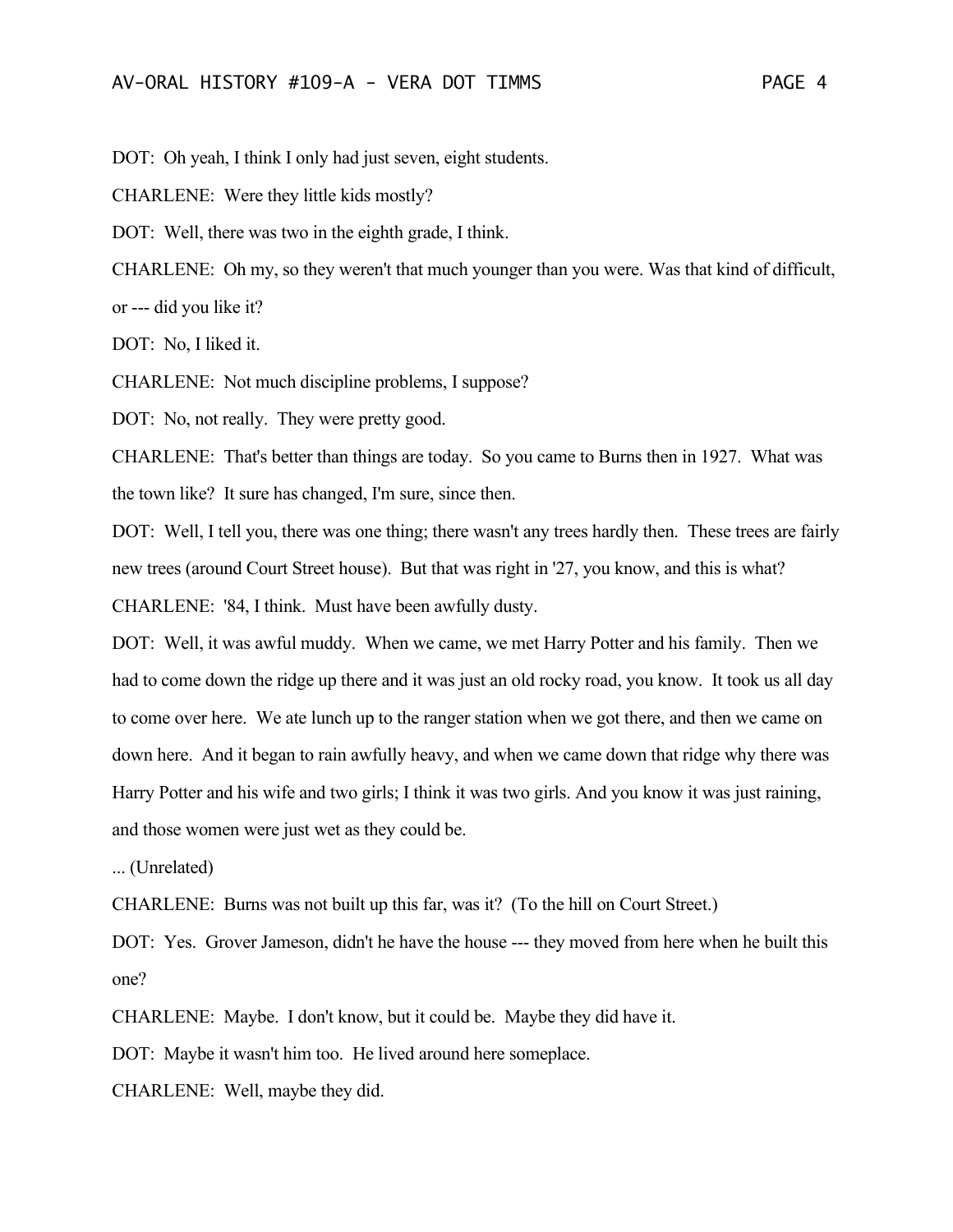DOT: Oh yeah, I think I only had just seven, eight students.

CHARLENE: Were they little kids mostly?

DOT: Well, there was two in the eighth grade, I think.

CHARLENE: Oh my, so they weren't that much younger than you were. Was that kind of difficult, or --- did you like it?

DOT: No, I liked it.

CHARLENE: Not much discipline problems, I suppose?

DOT: No, not really. They were pretty good.

CHARLENE: That's better than things are today. So you came to Burns then in 1927. What was the town like? It sure has changed, I'm sure, since then.

DOT: Well, I tell you, there was one thing; there wasn't any trees hardly then. These trees are fairly new trees (around Court Street house). But that was right in '27, you know, and this is what? CHARLENE: '84, I think. Must have been awfully dusty.

DOT: Well, it was awful muddy. When we came, we met Harry Potter and his family. Then we had to come down the ridge up there and it was just an old rocky road, you know. It took us all day to come over here. We ate lunch up to the ranger station when we got there, and then we came on down here. And it began to rain awfully heavy, and when we came down that ridge why there was Harry Potter and his wife and two girls; I think it was two girls. And you know it was just raining, and those women were just wet as they could be.

... (Unrelated)

CHARLENE: Burns was not built up this far, was it? (To the hill on Court Street.)

DOT: Yes. Grover Jameson, didn't he have the house --- they moved from here when he built this one?

CHARLENE: Maybe. I don't know, but it could be. Maybe they did have it.

DOT: Maybe it wasn't him too. He lived around here someplace.

CHARLENE: Well, maybe they did.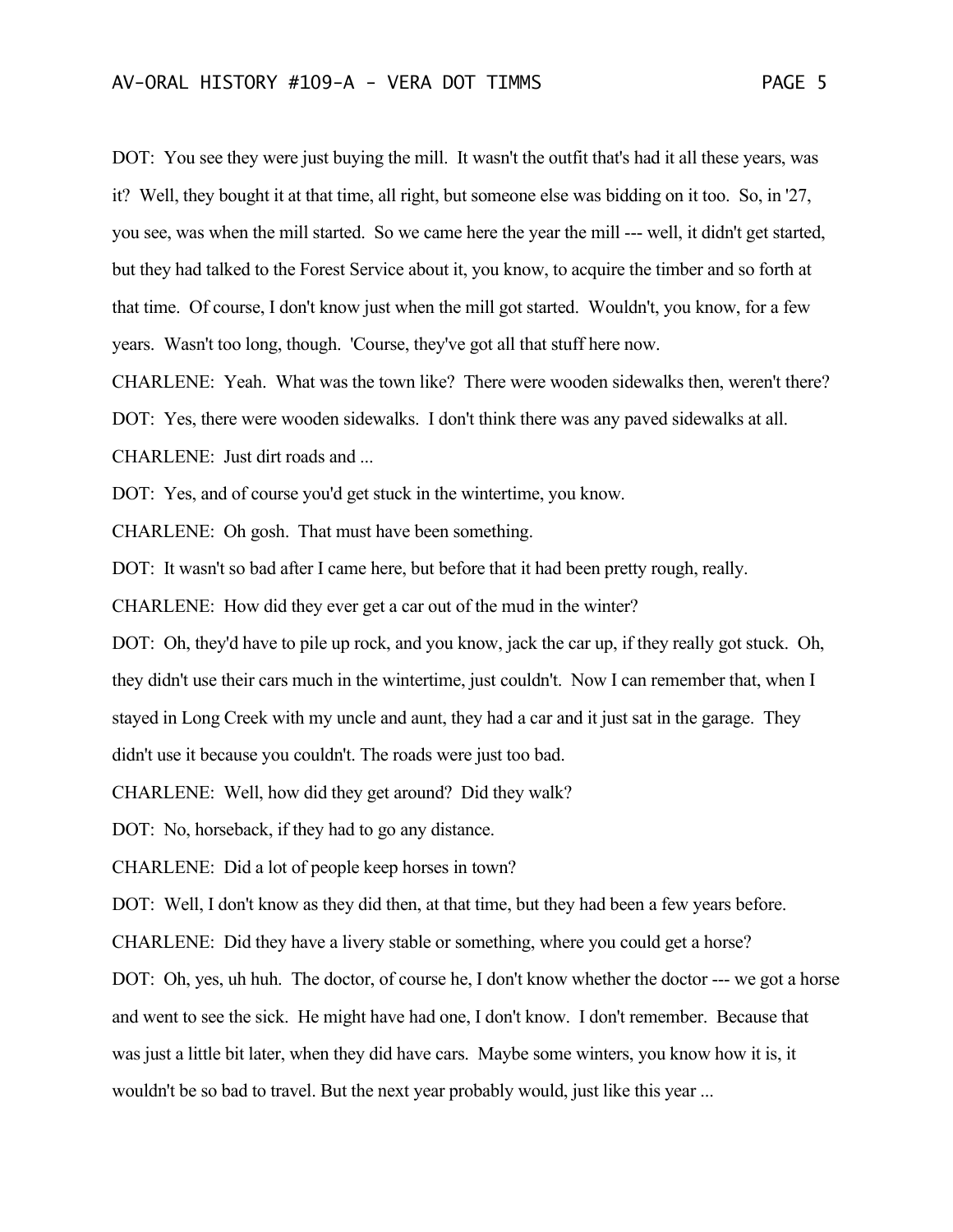DOT: You see they were just buying the mill. It wasn't the outfit that's had it all these years, was it? Well, they bought it at that time, all right, but someone else was bidding on it too. So, in '27, you see, was when the mill started. So we came here the year the mill --- well, it didn't get started, but they had talked to the Forest Service about it, you know, to acquire the timber and so forth at that time. Of course, I don't know just when the mill got started. Wouldn't, you know, for a few years. Wasn't too long, though. 'Course, they've got all that stuff here now.

CHARLENE: Yeah. What was the town like? There were wooden sidewalks then, weren't there? DOT: Yes, there were wooden sidewalks. I don't think there was any paved sidewalks at all. CHARLENE: Just dirt roads and ...

DOT: Yes, and of course you'd get stuck in the wintertime, you know.

CHARLENE: Oh gosh. That must have been something.

DOT: It wasn't so bad after I came here, but before that it had been pretty rough, really.

CHARLENE: How did they ever get a car out of the mud in the winter?

DOT: Oh, they'd have to pile up rock, and you know, jack the car up, if they really got stuck. Oh, they didn't use their cars much in the wintertime, just couldn't. Now I can remember that, when I stayed in Long Creek with my uncle and aunt, they had a car and it just sat in the garage. They didn't use it because you couldn't. The roads were just too bad.

CHARLENE: Well, how did they get around? Did they walk?

DOT: No, horseback, if they had to go any distance.

CHARLENE: Did a lot of people keep horses in town?

DOT: Well, I don't know as they did then, at that time, but they had been a few years before.

CHARLENE: Did they have a livery stable or something, where you could get a horse?

DOT: Oh, yes, uh huh. The doctor, of course he, I don't know whether the doctor --- we got a horse and went to see the sick. He might have had one, I don't know. I don't remember. Because that was just a little bit later, when they did have cars. Maybe some winters, you know how it is, it wouldn't be so bad to travel. But the next year probably would, just like this year ...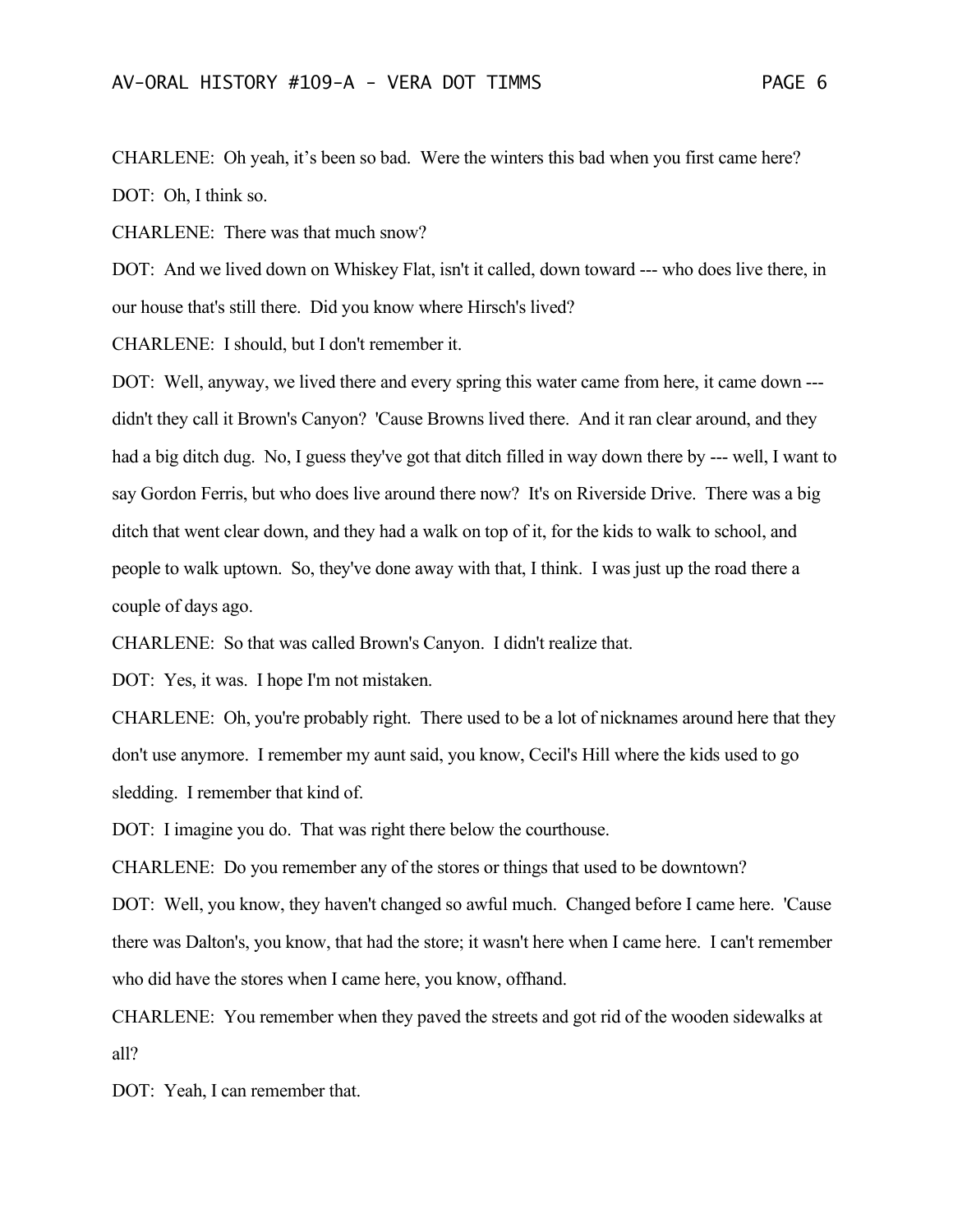CHARLENE: Oh yeah, it's been so bad. Were the winters this bad when you first came here? DOT: Oh, I think so.

CHARLENE: There was that much snow?

DOT: And we lived down on Whiskey Flat, isn't it called, down toward --- who does live there, in our house that's still there. Did you know where Hirsch's lived?

CHARLENE: I should, but I don't remember it.

DOT: Well, anyway, we lived there and every spring this water came from here, it came down -- didn't they call it Brown's Canyon? 'Cause Browns lived there. And it ran clear around, and they had a big ditch dug. No, I guess they've got that ditch filled in way down there by --- well, I want to say Gordon Ferris, but who does live around there now? It's on Riverside Drive. There was a big ditch that went clear down, and they had a walk on top of it, for the kids to walk to school, and people to walk uptown. So, they've done away with that, I think. I was just up the road there a couple of days ago.

CHARLENE: So that was called Brown's Canyon. I didn't realize that.

DOT: Yes, it was. I hope I'm not mistaken.

CHARLENE: Oh, you're probably right. There used to be a lot of nicknames around here that they don't use anymore. I remember my aunt said, you know, Cecil's Hill where the kids used to go sledding. I remember that kind of.

DOT: I imagine you do. That was right there below the courthouse.

CHARLENE: Do you remember any of the stores or things that used to be downtown?

DOT: Well, you know, they haven't changed so awful much. Changed before I came here. 'Cause there was Dalton's, you know, that had the store; it wasn't here when I came here. I can't remember who did have the stores when I came here, you know, offhand.

CHARLENE: You remember when they paved the streets and got rid of the wooden sidewalks at all?

DOT: Yeah, I can remember that.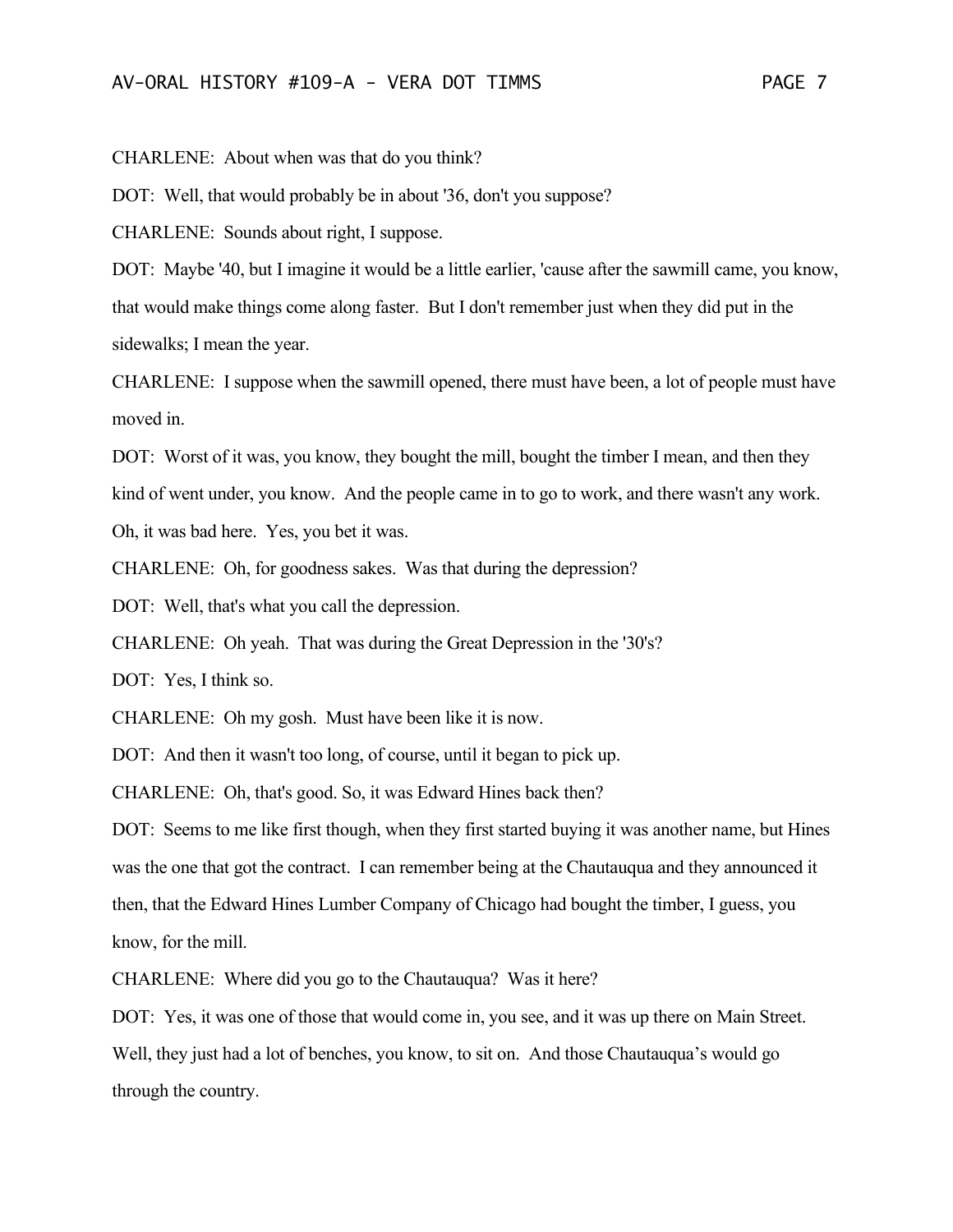CHARLENE: About when was that do you think?

DOT: Well, that would probably be in about '36, don't you suppose?

CHARLENE: Sounds about right, I suppose.

DOT: Maybe '40, but I imagine it would be a little earlier, 'cause after the sawmill came, you know, that would make things come along faster. But I don't remember just when they did put in the sidewalks; I mean the year.

CHARLENE: I suppose when the sawmill opened, there must have been, a lot of people must have moved in.

DOT: Worst of it was, you know, they bought the mill, bought the timber I mean, and then they kind of went under, you know. And the people came in to go to work, and there wasn't any work. Oh, it was bad here. Yes, you bet it was.

CHARLENE: Oh, for goodness sakes. Was that during the depression?

DOT: Well, that's what you call the depression.

CHARLENE: Oh yeah. That was during the Great Depression in the '30's?

DOT: Yes, I think so.

CHARLENE: Oh my gosh. Must have been like it is now.

DOT: And then it wasn't too long, of course, until it began to pick up.

CHARLENE: Oh, that's good. So, it was Edward Hines back then?

DOT: Seems to me like first though, when they first started buying it was another name, but Hines was the one that got the contract. I can remember being at the Chautauqua and they announced it then, that the Edward Hines Lumber Company of Chicago had bought the timber, I guess, you know, for the mill.

CHARLENE: Where did you go to the Chautauqua? Was it here?

DOT: Yes, it was one of those that would come in, you see, and it was up there on Main Street. Well, they just had a lot of benches, you know, to sit on. And those Chautauqua's would go through the country.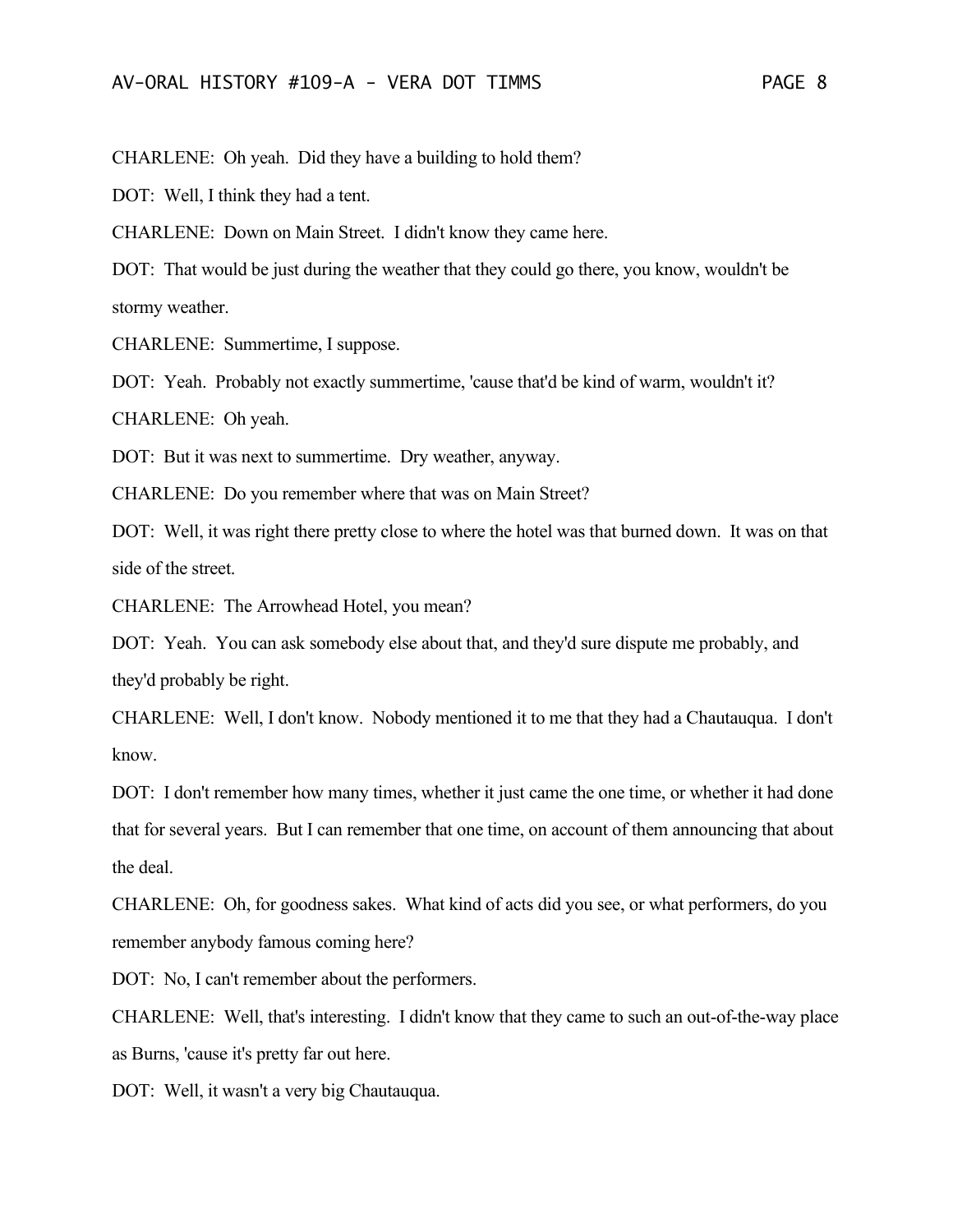CHARLENE: Oh yeah. Did they have a building to hold them?

DOT: Well, I think they had a tent.

CHARLENE: Down on Main Street. I didn't know they came here.

DOT: That would be just during the weather that they could go there, you know, wouldn't be stormy weather.

CHARLENE: Summertime, I suppose.

DOT: Yeah. Probably not exactly summertime, 'cause that'd be kind of warm, wouldn't it?

CHARLENE: Oh yeah.

DOT: But it was next to summertime. Dry weather, anyway.

CHARLENE: Do you remember where that was on Main Street?

DOT: Well, it was right there pretty close to where the hotel was that burned down. It was on that side of the street.

CHARLENE: The Arrowhead Hotel, you mean?

DOT: Yeah. You can ask somebody else about that, and they'd sure dispute me probably, and they'd probably be right.

CHARLENE: Well, I don't know. Nobody mentioned it to me that they had a Chautauqua. I don't know.

DOT: I don't remember how many times, whether it just came the one time, or whether it had done that for several years. But I can remember that one time, on account of them announcing that about the deal.

CHARLENE: Oh, for goodness sakes. What kind of acts did you see, or what performers, do you remember anybody famous coming here?

DOT: No, I can't remember about the performers.

CHARLENE: Well, that's interesting. I didn't know that they came to such an out-of-the-way place as Burns, 'cause it's pretty far out here.

DOT: Well, it wasn't a very big Chautauqua.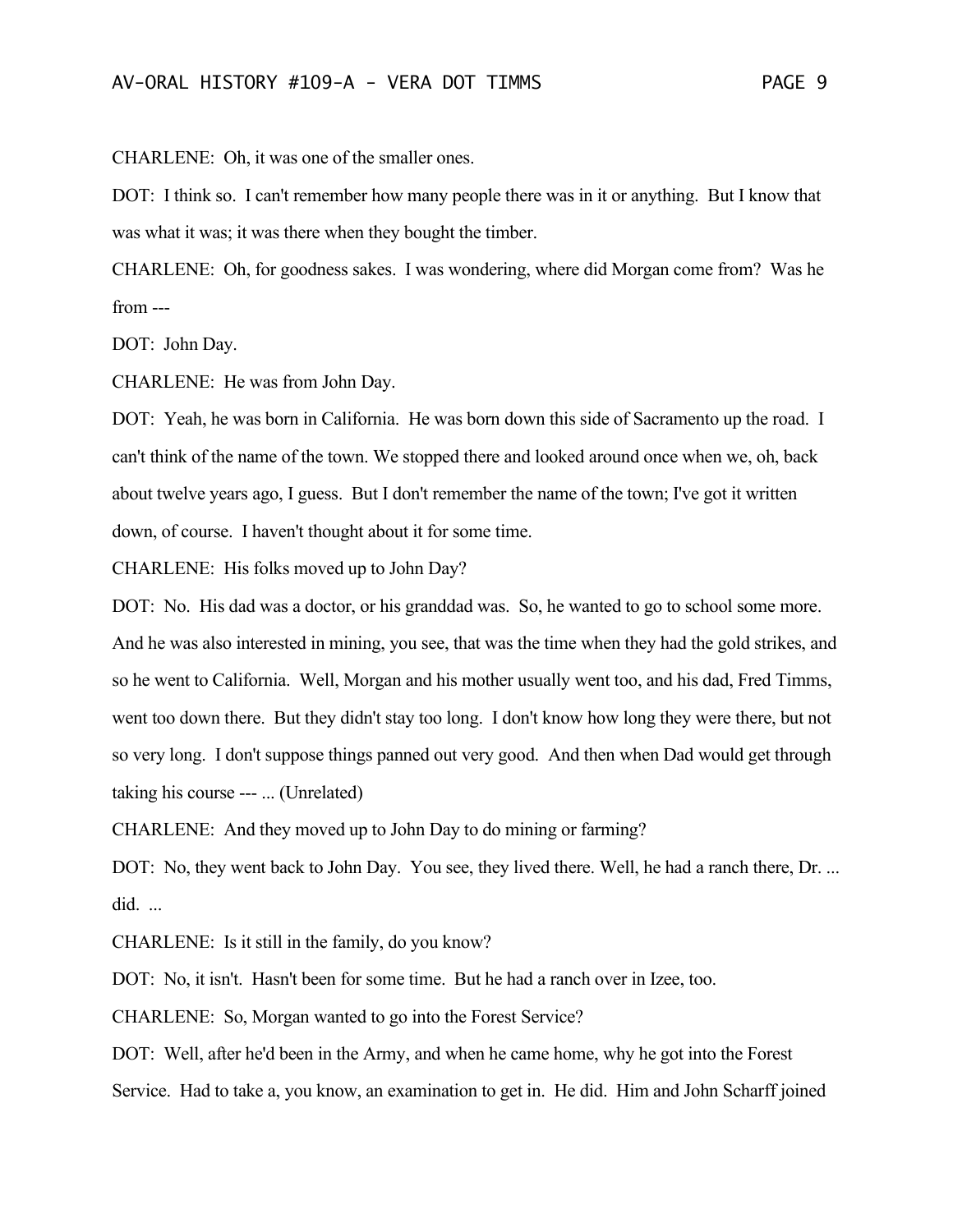CHARLENE: Oh, it was one of the smaller ones.

DOT: I think so. I can't remember how many people there was in it or anything. But I know that was what it was; it was there when they bought the timber.

CHARLENE: Oh, for goodness sakes. I was wondering, where did Morgan come from? Was he from ---

DOT: John Day.

CHARLENE: He was from John Day.

DOT: Yeah, he was born in California. He was born down this side of Sacramento up the road. I can't think of the name of the town. We stopped there and looked around once when we, oh, back about twelve years ago, I guess. But I don't remember the name of the town; I've got it written down, of course. I haven't thought about it for some time.

CHARLENE: His folks moved up to John Day?

DOT: No. His dad was a doctor, or his granddad was. So, he wanted to go to school some more. And he was also interested in mining, you see, that was the time when they had the gold strikes, and so he went to California. Well, Morgan and his mother usually went too, and his dad, Fred Timms, went too down there. But they didn't stay too long. I don't know how long they were there, but not so very long. I don't suppose things panned out very good. And then when Dad would get through taking his course --- ... (Unrelated)

CHARLENE: And they moved up to John Day to do mining or farming?

DOT: No, they went back to John Day. You see, they lived there. Well, he had a ranch there, Dr. ... did. ...

CHARLENE: Is it still in the family, do you know?

DOT: No, it isn't. Hasn't been for some time. But he had a ranch over in Izee, too.

CHARLENE: So, Morgan wanted to go into the Forest Service?

DOT: Well, after he'd been in the Army, and when he came home, why he got into the Forest Service. Had to take a, you know, an examination to get in. He did. Him and John Scharff joined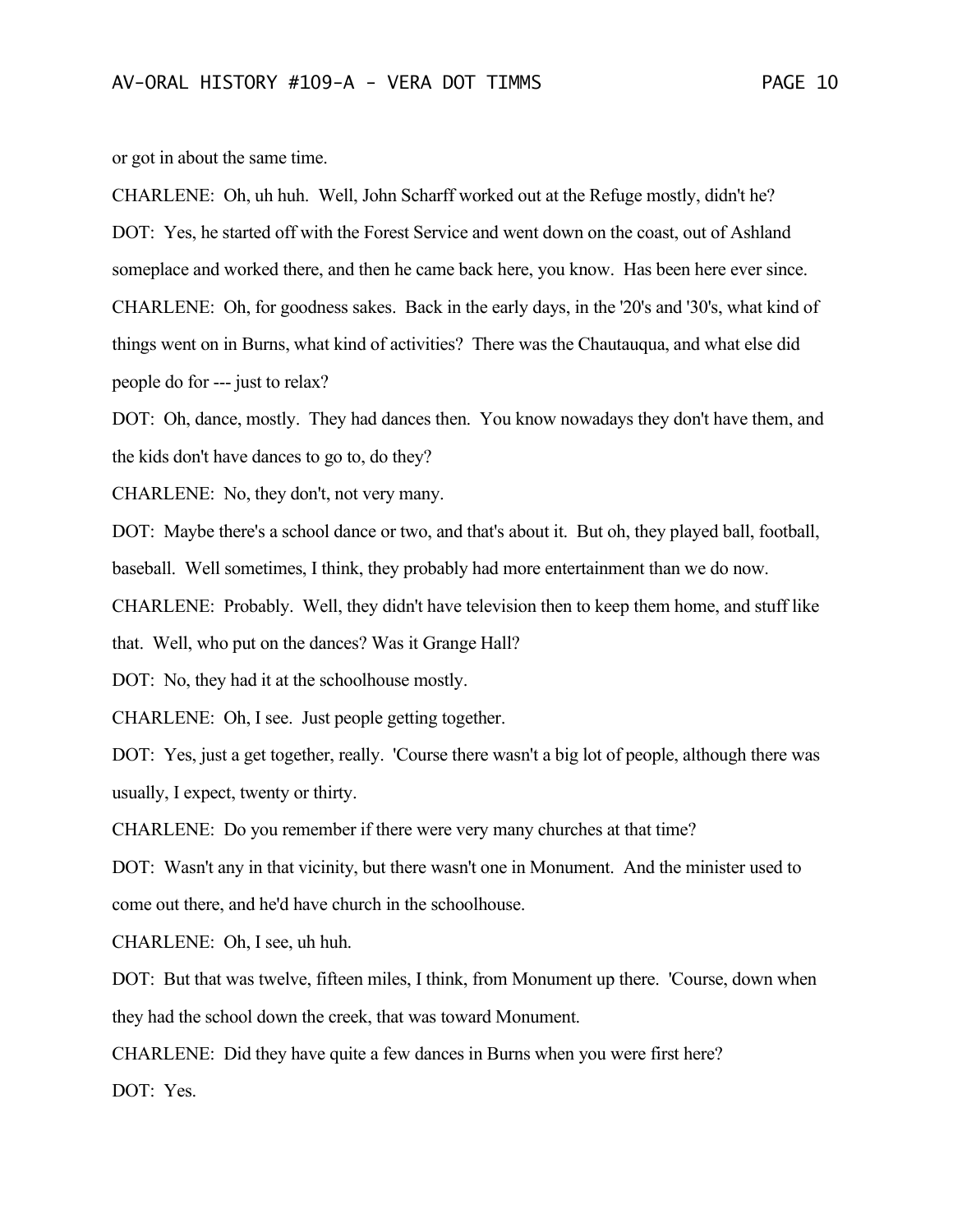or got in about the same time.

CHARLENE: Oh, uh huh. Well, John Scharff worked out at the Refuge mostly, didn't he? DOT: Yes, he started off with the Forest Service and went down on the coast, out of Ashland someplace and worked there, and then he came back here, you know. Has been here ever since. CHARLENE: Oh, for goodness sakes. Back in the early days, in the '20's and '30's, what kind of things went on in Burns, what kind of activities? There was the Chautauqua, and what else did people do for --- just to relax?

DOT: Oh, dance, mostly. They had dances then. You know nowadays they don't have them, and the kids don't have dances to go to, do they?

CHARLENE: No, they don't, not very many.

DOT: Maybe there's a school dance or two, and that's about it. But oh, they played ball, football, baseball. Well sometimes, I think, they probably had more entertainment than we do now.

CHARLENE: Probably. Well, they didn't have television then to keep them home, and stuff like

that. Well, who put on the dances? Was it Grange Hall?

DOT: No, they had it at the schoolhouse mostly.

CHARLENE: Oh, I see. Just people getting together.

DOT: Yes, just a get together, really. 'Course there wasn't a big lot of people, although there was usually, I expect, twenty or thirty.

CHARLENE: Do you remember if there were very many churches at that time?

DOT: Wasn't any in that vicinity, but there wasn't one in Monument. And the minister used to come out there, and he'd have church in the schoolhouse.

CHARLENE: Oh, I see, uh huh.

DOT: But that was twelve, fifteen miles, I think, from Monument up there. 'Course, down when they had the school down the creek, that was toward Monument.

CHARLENE: Did they have quite a few dances in Burns when you were first here?

DOT: Yes.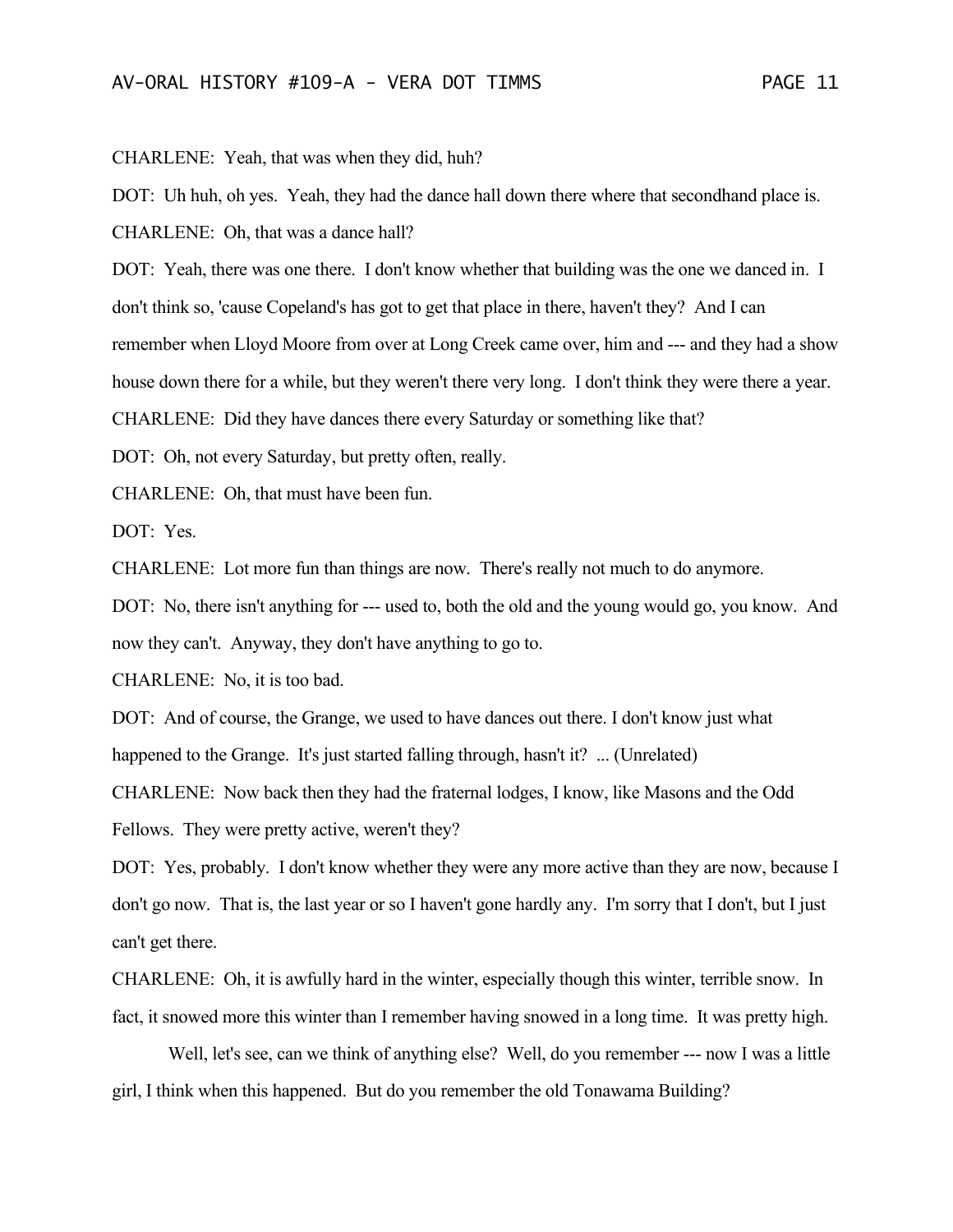CHARLENE: Yeah, that was when they did, huh?

DOT: Uh huh, oh yes. Yeah, they had the dance hall down there where that secondhand place is. CHARLENE: Oh, that was a dance hall?

DOT: Yeah, there was one there. I don't know whether that building was the one we danced in. I don't think so, 'cause Copeland's has got to get that place in there, haven't they? And I can remember when Lloyd Moore from over at Long Creek came over, him and --- and they had a show house down there for a while, but they weren't there very long. I don't think they were there a year.

CHARLENE: Did they have dances there every Saturday or something like that?

DOT: Oh, not every Saturday, but pretty often, really.

CHARLENE: Oh, that must have been fun.

DOT: Yes.

CHARLENE: Lot more fun than things are now. There's really not much to do anymore.

DOT: No, there isn't anything for --- used to, both the old and the young would go, you know. And now they can't. Anyway, they don't have anything to go to.

CHARLENE: No, it is too bad.

DOT: And of course, the Grange, we used to have dances out there. I don't know just what happened to the Grange. It's just started falling through, hasn't it? ... (Unrelated)

CHARLENE: Now back then they had the fraternal lodges, I know, like Masons and the Odd Fellows. They were pretty active, weren't they?

DOT: Yes, probably. I don't know whether they were any more active than they are now, because I don't go now. That is, the last year or so I haven't gone hardly any. I'm sorry that I don't, but I just can't get there.

CHARLENE: Oh, it is awfully hard in the winter, especially though this winter, terrible snow. In fact, it snowed more this winter than I remember having snowed in a long time. It was pretty high.

Well, let's see, can we think of anything else? Well, do you remember --- now I was a little girl, I think when this happened. But do you remember the old Tonawama Building?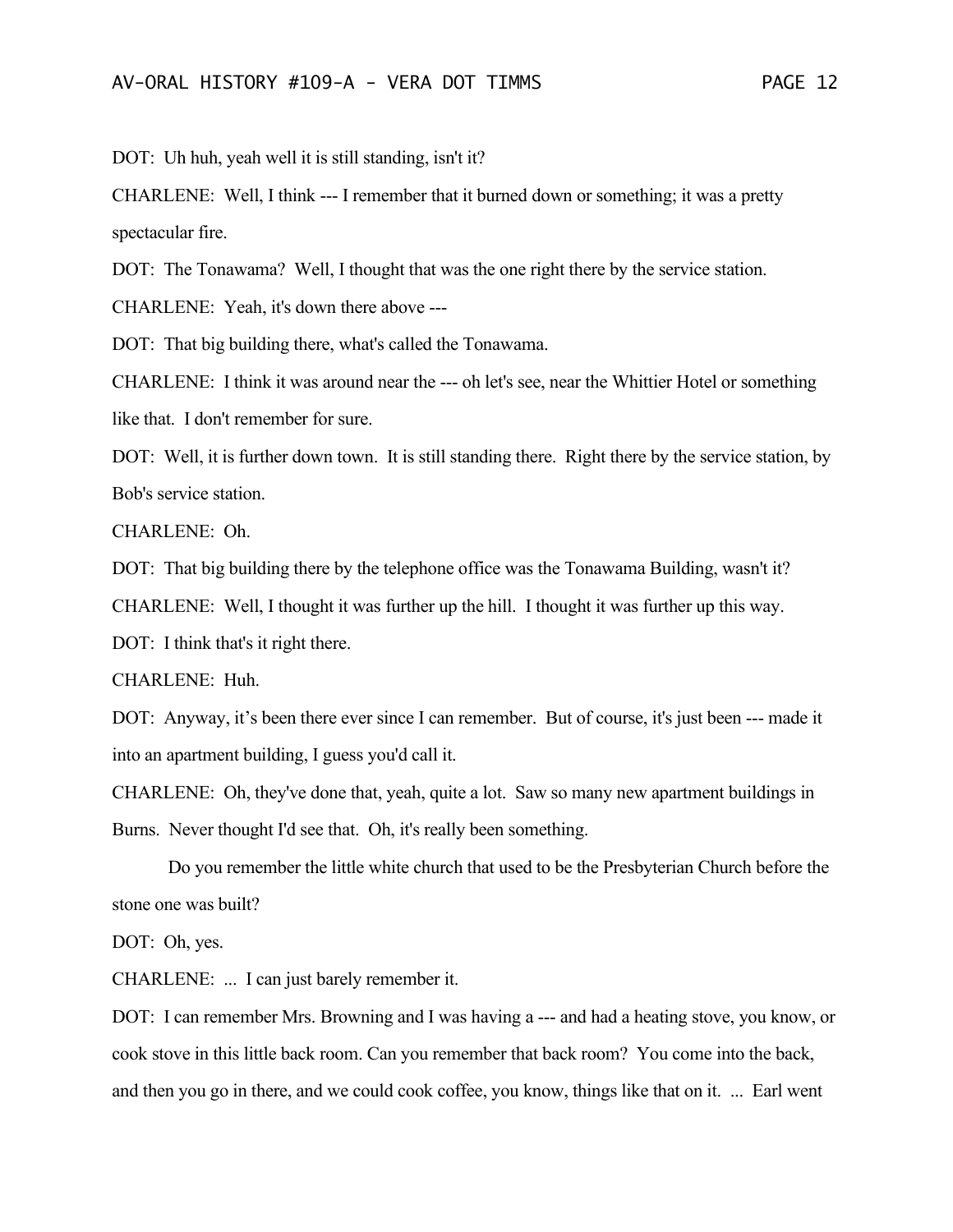DOT: Uh huh, yeah well it is still standing, isn't it?

CHARLENE: Well, I think --- I remember that it burned down or something; it was a pretty spectacular fire.

DOT: The Tonawama? Well, I thought that was the one right there by the service station.

CHARLENE: Yeah, it's down there above ---

DOT: That big building there, what's called the Tonawama.

CHARLENE: I think it was around near the --- oh let's see, near the Whittier Hotel or something like that. I don't remember for sure.

DOT: Well, it is further down town. It is still standing there. Right there by the service station, by Bob's service station.

CHARLENE: Oh.

DOT: That big building there by the telephone office was the Tonawama Building, wasn't it?

CHARLENE: Well, I thought it was further up the hill. I thought it was further up this way.

DOT: I think that's it right there.

CHARLENE: Huh.

DOT: Anyway, it's been there ever since I can remember. But of course, it's just been --- made it into an apartment building, I guess you'd call it.

CHARLENE: Oh, they've done that, yeah, quite a lot. Saw so many new apartment buildings in Burns. Never thought I'd see that. Oh, it's really been something.

Do you remember the little white church that used to be the Presbyterian Church before the stone one was built?

DOT: Oh, yes.

CHARLENE: ... I can just barely remember it.

DOT: I can remember Mrs. Browning and I was having a --- and had a heating stove, you know, or cook stove in this little back room. Can you remember that back room? You come into the back, and then you go in there, and we could cook coffee, you know, things like that on it. ... Earl went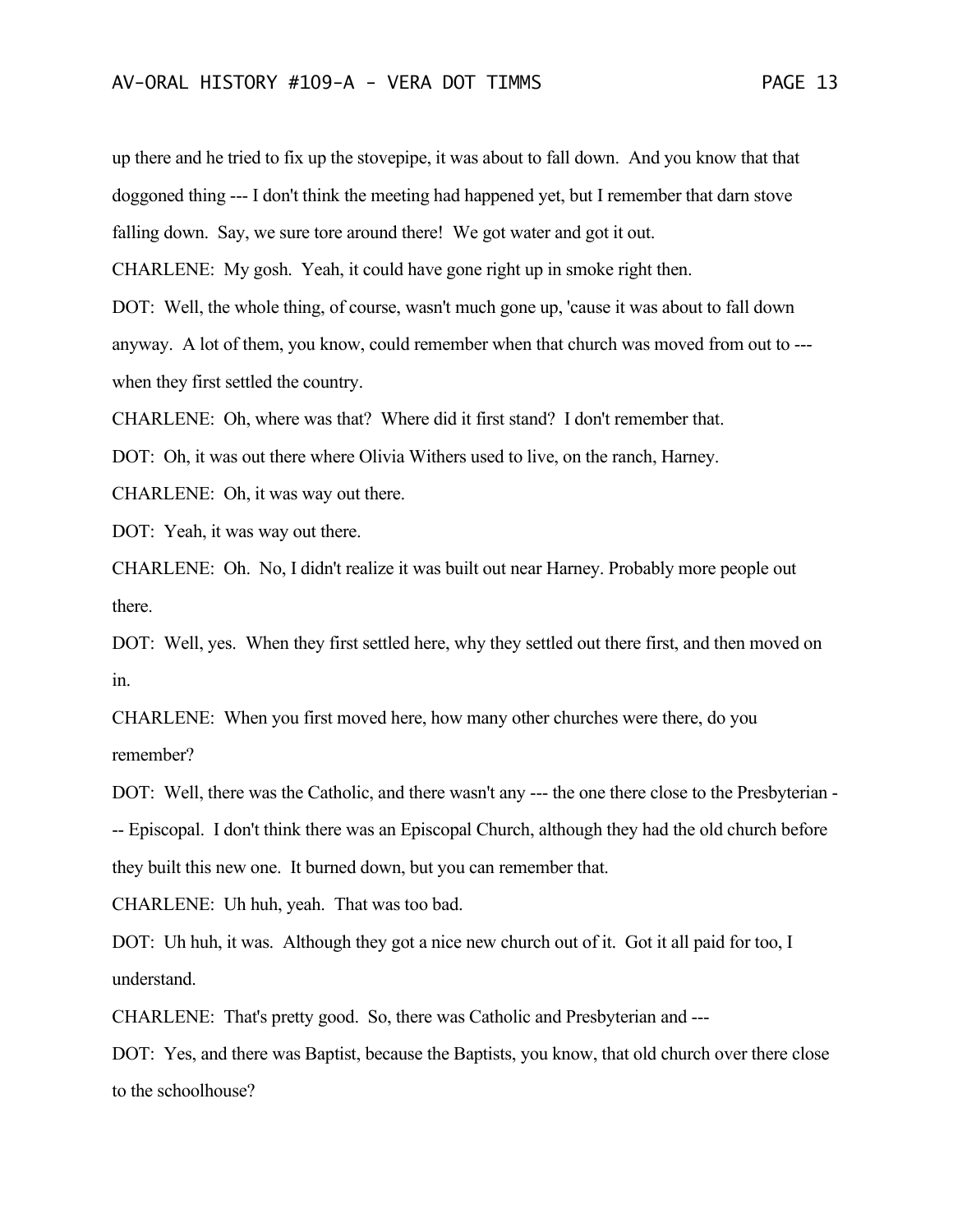up there and he tried to fix up the stovepipe, it was about to fall down. And you know that that doggoned thing --- I don't think the meeting had happened yet, but I remember that darn stove falling down. Say, we sure tore around there! We got water and got it out.

CHARLENE: My gosh. Yeah, it could have gone right up in smoke right then.

DOT: Well, the whole thing, of course, wasn't much gone up, 'cause it was about to fall down anyway. A lot of them, you know, could remember when that church was moved from out to -- when they first settled the country.

CHARLENE: Oh, where was that? Where did it first stand? I don't remember that.

DOT: Oh, it was out there where Olivia Withers used to live, on the ranch, Harney.

CHARLENE: Oh, it was way out there.

DOT: Yeah, it was way out there.

CHARLENE: Oh. No, I didn't realize it was built out near Harney. Probably more people out there.

DOT: Well, yes. When they first settled here, why they settled out there first, and then moved on in.

CHARLENE: When you first moved here, how many other churches were there, do you remember?

DOT: Well, there was the Catholic, and there wasn't any --- the one there close to the Presbyterian - -- Episcopal. I don't think there was an Episcopal Church, although they had the old church before they built this new one. It burned down, but you can remember that.

CHARLENE: Uh huh, yeah. That was too bad.

DOT: Uh huh, it was. Although they got a nice new church out of it. Got it all paid for too, I understand.

CHARLENE: That's pretty good. So, there was Catholic and Presbyterian and ---

DOT: Yes, and there was Baptist, because the Baptists, you know, that old church over there close to the schoolhouse?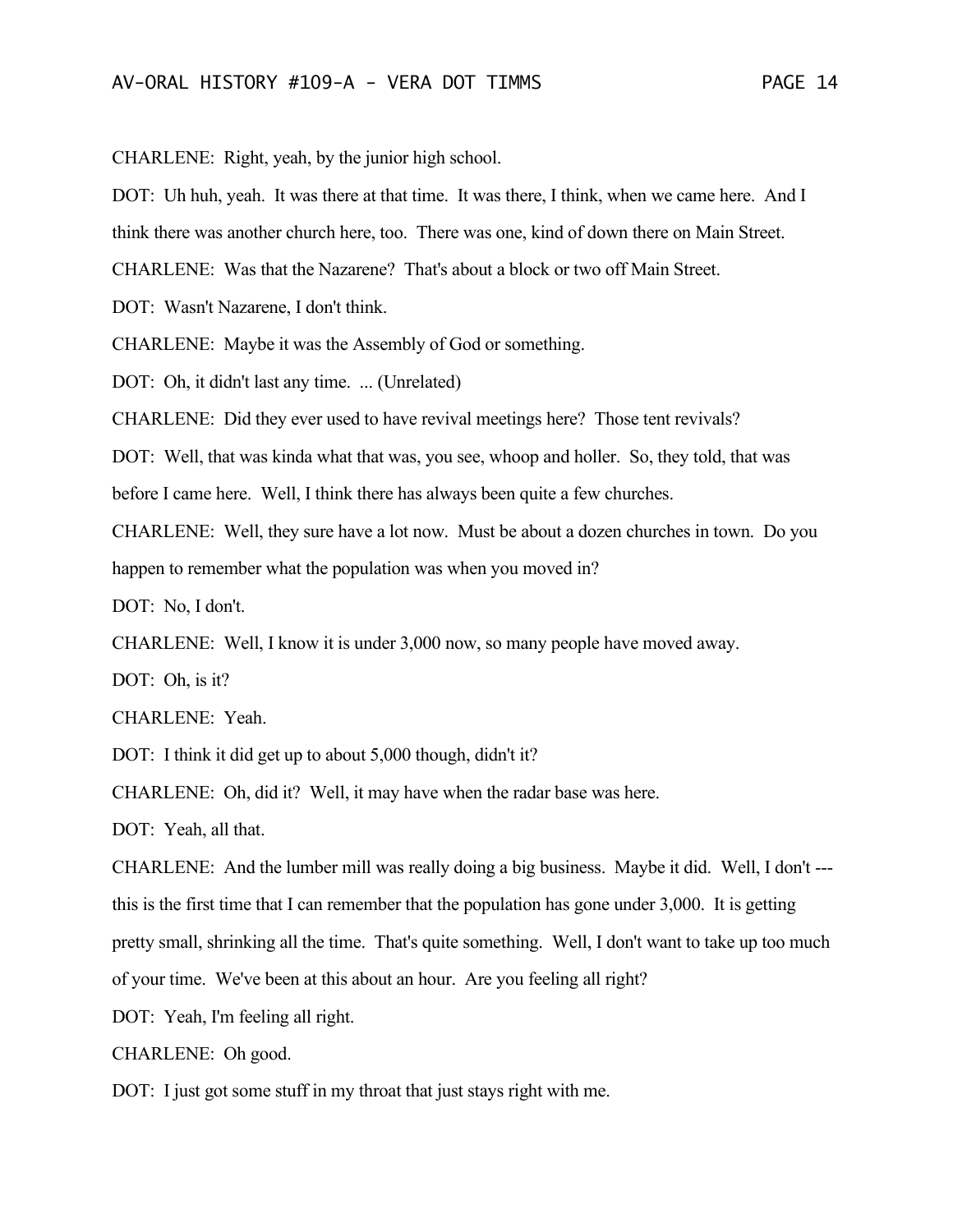CHARLENE: Right, yeah, by the junior high school.

DOT: Uh huh, yeah. It was there at that time. It was there, I think, when we came here. And I

think there was another church here, too. There was one, kind of down there on Main Street.

CHARLENE: Was that the Nazarene? That's about a block or two off Main Street.

DOT: Wasn't Nazarene, I don't think.

CHARLENE: Maybe it was the Assembly of God or something.

DOT: Oh, it didn't last any time. ... (Unrelated)

CHARLENE: Did they ever used to have revival meetings here? Those tent revivals?

DOT: Well, that was kinda what that was, you see, whoop and holler. So, they told, that was

before I came here. Well, I think there has always been quite a few churches.

CHARLENE: Well, they sure have a lot now. Must be about a dozen churches in town. Do you happen to remember what the population was when you moved in?

DOT: No, I don't.

CHARLENE: Well, I know it is under 3,000 now, so many people have moved away.

DOT: Oh, is it?

CHARLENE: Yeah.

DOT: I think it did get up to about 5,000 though, didn't it?

CHARLENE: Oh, did it? Well, it may have when the radar base was here.

DOT: Yeah, all that.

CHARLENE: And the lumber mill was really doing a big business. Maybe it did. Well, I don't -- this is the first time that I can remember that the population has gone under 3,000. It is getting pretty small, shrinking all the time. That's quite something. Well, I don't want to take up too much of your time. We've been at this about an hour. Are you feeling all right?

DOT: Yeah, I'm feeling all right.

CHARLENE: Oh good.

DOT: I just got some stuff in my throat that just stays right with me.